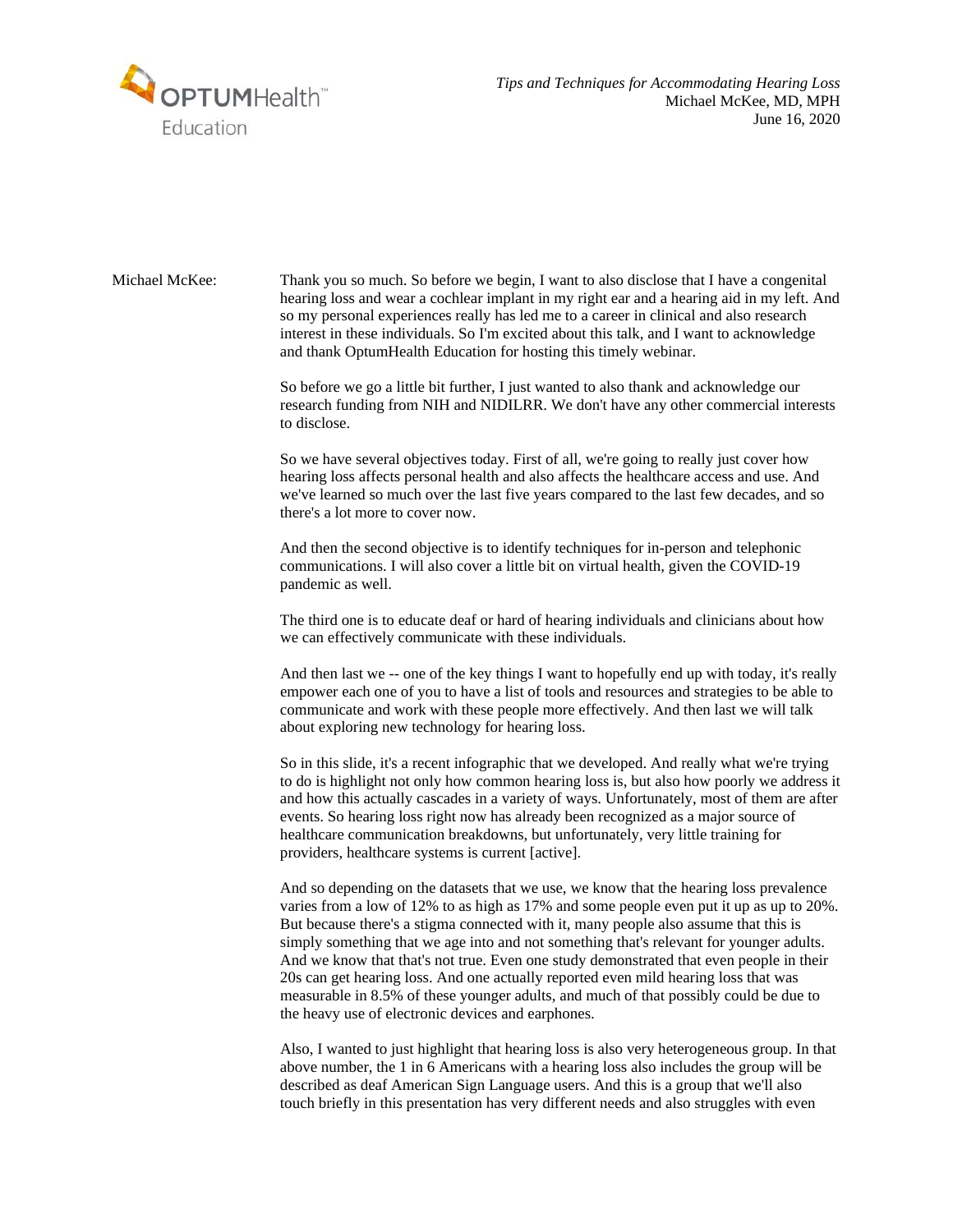

Michael McKee: Thank you so much. So before we begin, I want to also disclose that I have a congenital hearing loss and wear a cochlear implant in my right ear and a hearing aid in my left. And so my personal experiences really has led me to a career in clinical and also research interest in these individuals. So I'm excited about this talk, and I want to acknowledge and thank OptumHealth Education for hosting this timely webinar.

> So before we go a little bit further, I just wanted to also thank and acknowledge our research funding from NIH and NIDILRR. We don't have any other commercial interests to disclose.

So we have several objectives today. First of all, we're going to really just cover how hearing loss affects personal health and also affects the healthcare access and use. And we've learned so much over the last five years compared to the last few decades, and so there's a lot more to cover now.

And then the second objective is to identify techniques for in-person and telephonic communications. I will also cover a little bit on virtual health, given the COVID-19 pandemic as well.

The third one is to educate deaf or hard of hearing individuals and clinicians about how we can effectively communicate with these individuals.

And then last we -- one of the key things I want to hopefully end up with today, it's really empower each one of you to have a list of tools and resources and strategies to be able to communicate and work with these people more effectively. And then last we will talk about exploring new technology for hearing loss.

So in this slide, it's a recent infographic that we developed. And really what we're trying to do is highlight not only how common hearing loss is, but also how poorly we address it and how this actually cascades in a variety of ways. Unfortunately, most of them are after events. So hearing loss right now has already been recognized as a major source of healthcare communication breakdowns, but unfortunately, very little training for providers, healthcare systems is current [active].

And so depending on the datasets that we use, we know that the hearing loss prevalence varies from a low of 12% to as high as 17% and some people even put it up as up to 20%. But because there's a stigma connected with it, many people also assume that this is simply something that we age into and not something that's relevant for younger adults. And we know that that's not true. Even one study demonstrated that even people in their 20s can get hearing loss. And one actually reported even mild hearing loss that was measurable in 8.5% of these younger adults, and much of that possibly could be due to the heavy use of electronic devices and earphones.

Also, I wanted to just highlight that hearing loss is also very heterogeneous group. In that above number, the 1 in 6 Americans with a hearing loss also includes the group will be described as deaf American Sign Language users. And this is a group that we'll also touch briefly in this presentation has very different needs and also struggles with even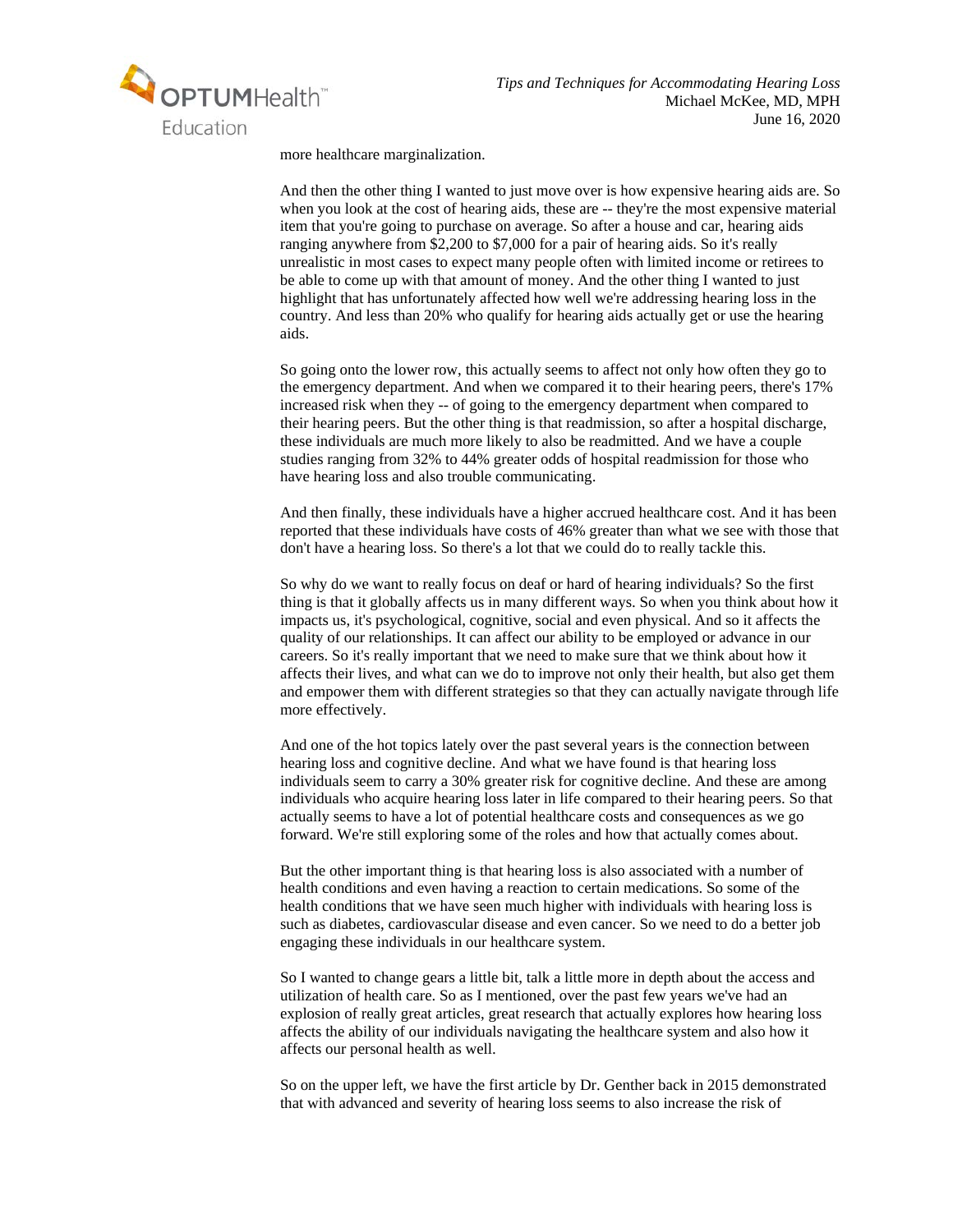

more healthcare marginalization.

And then the other thing I wanted to just move over is how expensive hearing aids are. So when you look at the cost of hearing aids, these are  $-$ - they're the most expensive material item that you're going to purchase on average. So after a house and car, hearing aids ranging anywhere from \$2,200 to \$7,000 for a pair of hearing aids. So it's really unrealistic in most cases to expect many people often with limited income or retirees to be able to come up with that amount of money. And the other thing I wanted to just highlight that has unfortunately affected how well we're addressing hearing loss in the country. And less than 20% who qualify for hearing aids actually get or use the hearing aids.

So going onto the lower row, this actually seems to affect not only how often they go to the emergency department. And when we compared it to their hearing peers, there's 17% increased risk when they -- of going to the emergency department when compared to their hearing peers. But the other thing is that readmission, so after a hospital discharge, these individuals are much more likely to also be readmitted. And we have a couple studies ranging from 32% to 44% greater odds of hospital readmission for those who have hearing loss and also trouble communicating.

And then finally, these individuals have a higher accrued healthcare cost. And it has been reported that these individuals have costs of 46% greater than what we see with those that don't have a hearing loss. So there's a lot that we could do to really tackle this.

So why do we want to really focus on deaf or hard of hearing individuals? So the first thing is that it globally affects us in many different ways. So when you think about how it impacts us, it's psychological, cognitive, social and even physical. And so it affects the quality of our relationships. It can affect our ability to be employed or advance in our careers. So it's really important that we need to make sure that we think about how it affects their lives, and what can we do to improve not only their health, but also get them and empower them with different strategies so that they can actually navigate through life more effectively.

And one of the hot topics lately over the past several years is the connection between hearing loss and cognitive decline. And what we have found is that hearing loss individuals seem to carry a 30% greater risk for cognitive decline. And these are among individuals who acquire hearing loss later in life compared to their hearing peers. So that actually seems to have a lot of potential healthcare costs and consequences as we go forward. We're still exploring some of the roles and how that actually comes about.

But the other important thing is that hearing loss is also associated with a number of health conditions and even having a reaction to certain medications. So some of the health conditions that we have seen much higher with individuals with hearing loss is such as diabetes, cardiovascular disease and even cancer. So we need to do a better job engaging these individuals in our healthcare system.

So I wanted to change gears a little bit, talk a little more in depth about the access and utilization of health care. So as I mentioned, over the past few years we've had an explosion of really great articles, great research that actually explores how hearing loss affects the ability of our individuals navigating the healthcare system and also how it affects our personal health as well.

So on the upper left, we have the first article by Dr. Genther back in 2015 demonstrated that with advanced and severity of hearing loss seems to also increase the risk of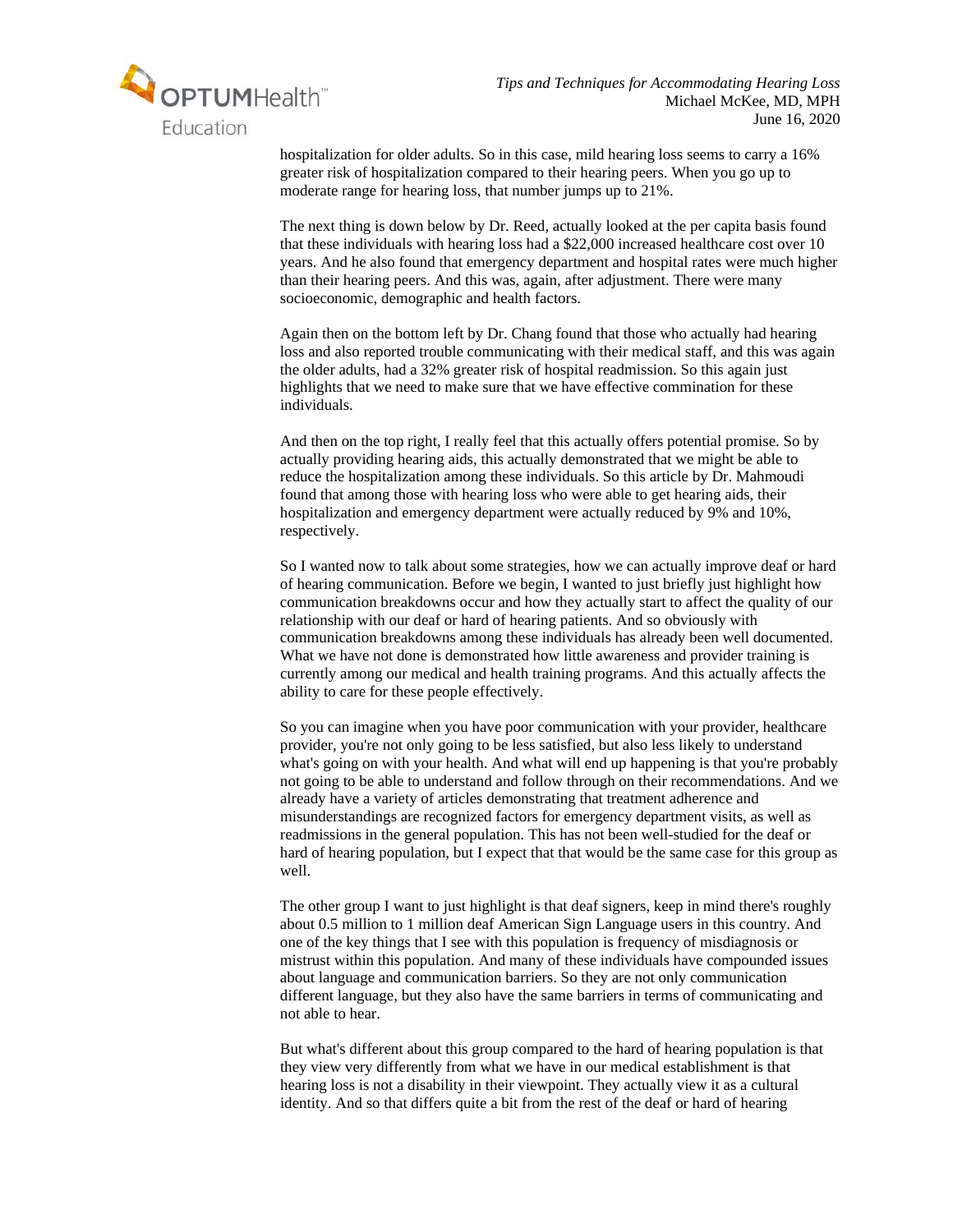

hospitalization for older adults. So in this case, mild hearing loss seems to carry a 16% greater risk of hospitalization compared to their hearing peers. When you go up to moderate range for hearing loss, that number jumps up to 21%.

The next thing is down below by Dr. Reed, actually looked at the per capita basis found that these individuals with hearing loss had a \$22,000 increased healthcare cost over 10 years. And he also found that emergency department and hospital rates were much higher than their hearing peers. And this was, again, after adjustment. There were many socioeconomic, demographic and health factors.

Again then on the bottom left by Dr. Chang found that those who actually had hearing loss and also reported trouble communicating with their medical staff, and this was again the older adults, had a 32% greater risk of hospital readmission. So this again just highlights that we need to make sure that we have effective commination for these individuals.

And then on the top right, I really feel that this actually offers potential promise. So by actually providing hearing aids, this actually demonstrated that we might be able to reduce the hospitalization among these individuals. So this article by Dr. Mahmoudi found that among those with hearing loss who were able to get hearing aids, their hospitalization and emergency department were actually reduced by 9% and 10%, respectively.

So I wanted now to talk about some strategies, how we can actually improve deaf or hard of hearing communication. Before we begin, I wanted to just briefly just highlight how communication breakdowns occur and how they actually start to affect the quality of our relationship with our deaf or hard of hearing patients. And so obviously with communication breakdowns among these individuals has already been well documented. What we have not done is demonstrated how little awareness and provider training is currently among our medical and health training programs. And this actually affects the ability to care for these people effectively.

So you can imagine when you have poor communication with your provider, healthcare provider, you're not only going to be less satisfied, but also less likely to understand what's going on with your health. And what will end up happening is that you're probably not going to be able to understand and follow through on their recommendations. And we already have a variety of articles demonstrating that treatment adherence and misunderstandings are recognized factors for emergency department visits, as well as readmissions in the general population. This has not been well-studied for the deaf or hard of hearing population, but I expect that that would be the same case for this group as well.

The other group I want to just highlight is that deaf signers, keep in mind there's roughly about 0.5 million to 1 million deaf American Sign Language users in this country. And one of the key things that I see with this population is frequency of misdiagnosis or mistrust within this population. And many of these individuals have compounded issues about language and communication barriers. So they are not only communication different language, but they also have the same barriers in terms of communicating and not able to hear.

But what's different about this group compared to the hard of hearing population is that they view very differently from what we have in our medical establishment is that hearing loss is not a disability in their viewpoint. They actually view it as a cultural identity. And so that differs quite a bit from the rest of the deaf or hard of hearing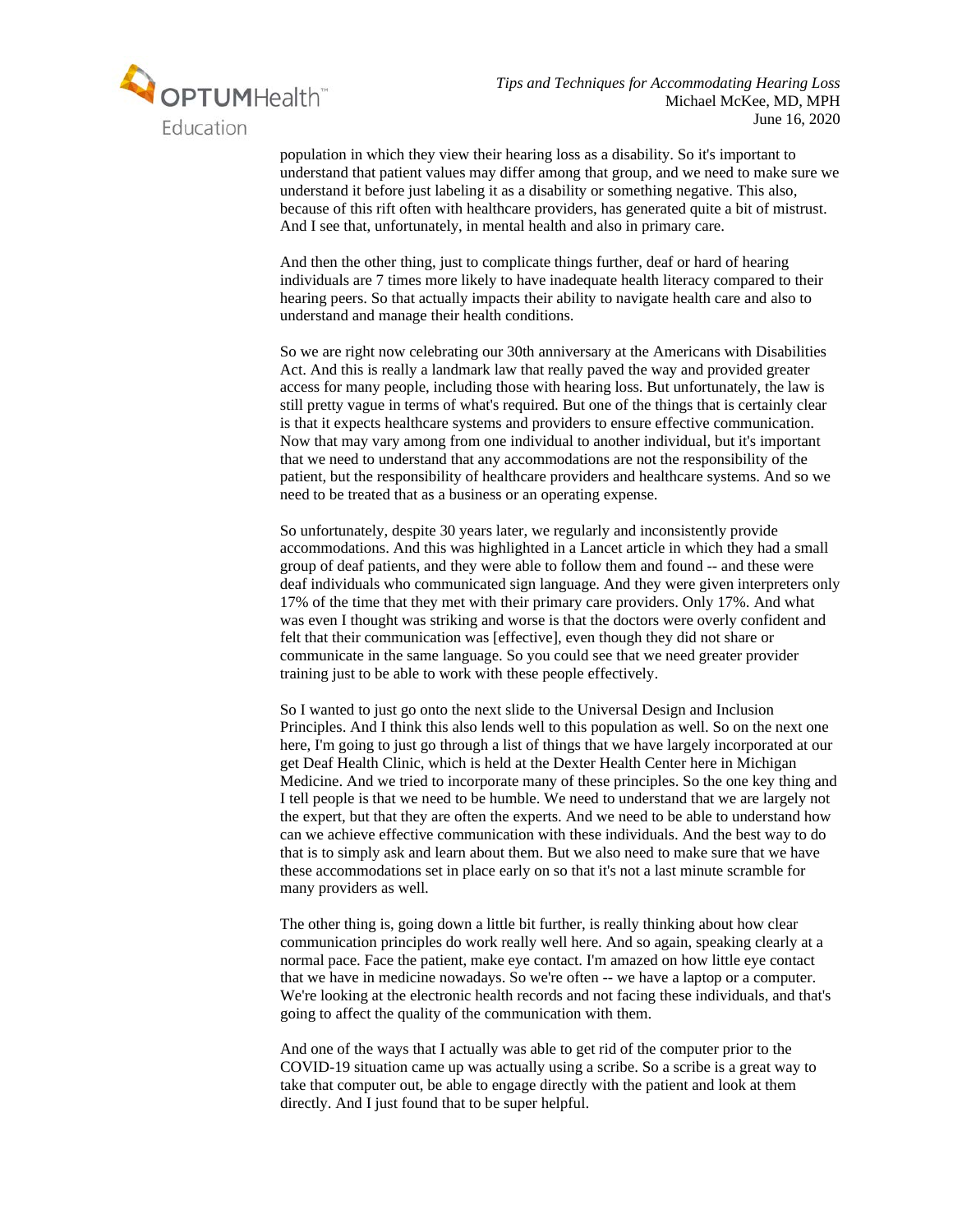

population in which they view their hearing loss as a disability. So it's important to understand that patient values may differ among that group, and we need to make sure we understand it before just labeling it as a disability or something negative. This also, because of this rift often with healthcare providers, has generated quite a bit of mistrust. And I see that, unfortunately, in mental health and also in primary care.

And then the other thing, just to complicate things further, deaf or hard of hearing individuals are 7 times more likely to have inadequate health literacy compared to their hearing peers. So that actually impacts their ability to navigate health care and also to understand and manage their health conditions.

So we are right now celebrating our 30th anniversary at the Americans with Disabilities Act. And this is really a landmark law that really paved the way and provided greater access for many people, including those with hearing loss. But unfortunately, the law is still pretty vague in terms of what's required. But one of the things that is certainly clear is that it expects healthcare systems and providers to ensure effective communication. Now that may vary among from one individual to another individual, but it's important that we need to understand that any accommodations are not the responsibility of the patient, but the responsibility of healthcare providers and healthcare systems. And so we need to be treated that as a business or an operating expense.

So unfortunately, despite 30 years later, we regularly and inconsistently provide accommodations. And this was highlighted in a Lancet article in which they had a small group of deaf patients, and they were able to follow them and found -- and these were deaf individuals who communicated sign language. And they were given interpreters only 17% of the time that they met with their primary care providers. Only 17%. And what was even I thought was striking and worse is that the doctors were overly confident and felt that their communication was [effective], even though they did not share or communicate in the same language. So you could see that we need greater provider training just to be able to work with these people effectively.

So I wanted to just go onto the next slide to the Universal Design and Inclusion Principles. And I think this also lends well to this population as well. So on the next one here, I'm going to just go through a list of things that we have largely incorporated at our get Deaf Health Clinic, which is held at the Dexter Health Center here in Michigan Medicine. And we tried to incorporate many of these principles. So the one key thing and I tell people is that we need to be humble. We need to understand that we are largely not the expert, but that they are often the experts. And we need to be able to understand how can we achieve effective communication with these individuals. And the best way to do that is to simply ask and learn about them. But we also need to make sure that we have these accommodations set in place early on so that it's not a last minute scramble for many providers as well.

The other thing is, going down a little bit further, is really thinking about how clear communication principles do work really well here. And so again, speaking clearly at a normal pace. Face the patient, make eye contact. I'm amazed on how little eye contact that we have in medicine nowadays. So we're often -- we have a laptop or a computer. We're looking at the electronic health records and not facing these individuals, and that's going to affect the quality of the communication with them.

And one of the ways that I actually was able to get rid of the computer prior to the COVID-19 situation came up was actually using a scribe. So a scribe is a great way to take that computer out, be able to engage directly with the patient and look at them directly. And I just found that to be super helpful.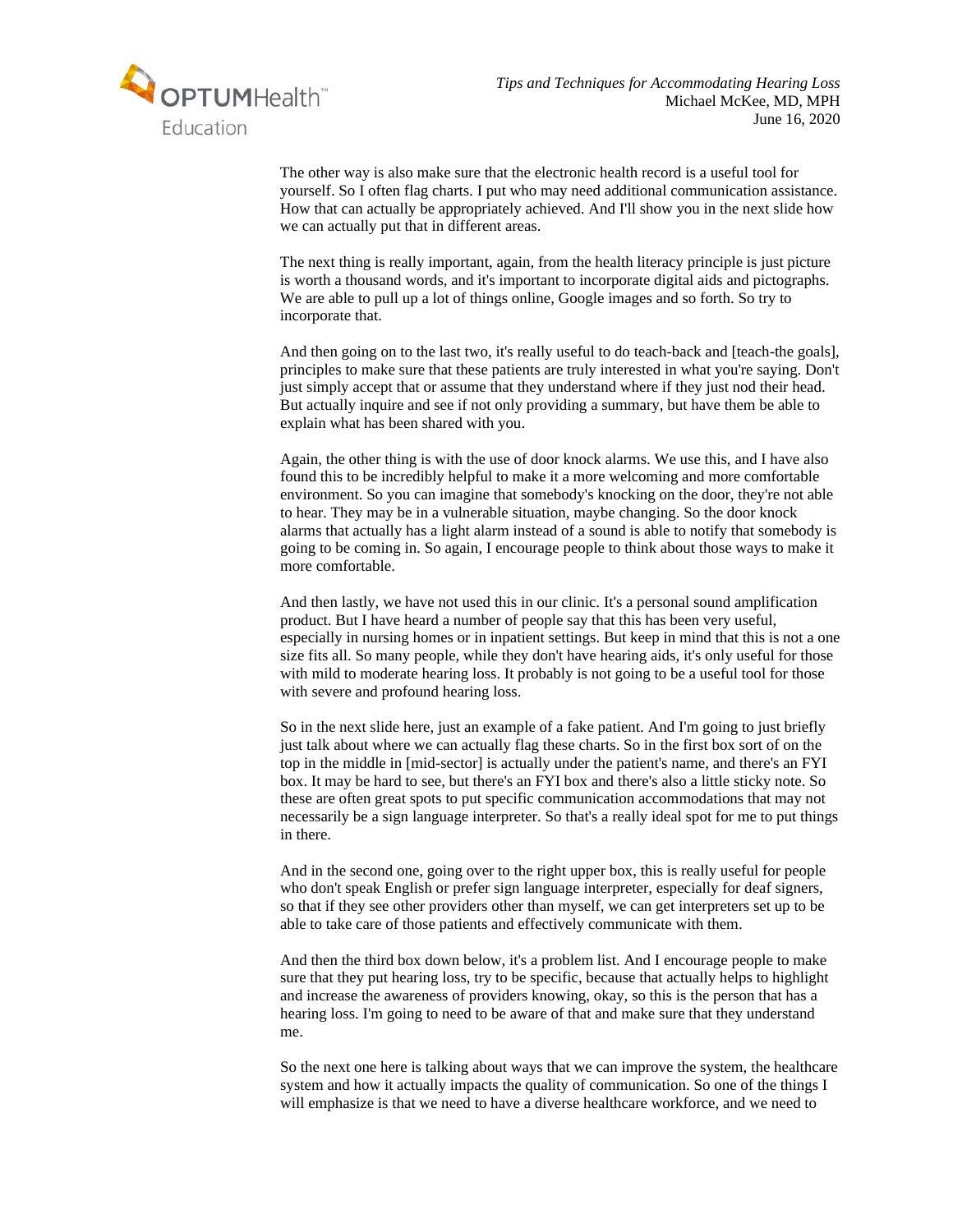

The other way is also make sure that the electronic health record is a useful tool for yourself. So I often flag charts. I put who may need additional communication assistance. How that can actually be appropriately achieved. And I'll show you in the next slide how we can actually put that in different areas.

The next thing is really important, again, from the health literacy principle is just picture is worth a thousand words, and it's important to incorporate digital aids and pictographs. We are able to pull up a lot of things online, Google images and so forth. So try to incorporate that.

And then going on to the last two, it's really useful to do teach-back and [teach-the goals], principles to make sure that these patients are truly interested in what you're saying. Don't just simply accept that or assume that they understand where if they just nod their head. But actually inquire and see if not only providing a summary, but have them be able to explain what has been shared with you.

Again, the other thing is with the use of door knock alarms. We use this, and I have also found this to be incredibly helpful to make it a more welcoming and more comfortable environment. So you can imagine that somebody's knocking on the door, they're not able to hear. They may be in a vulnerable situation, maybe changing. So the door knock alarms that actually has a light alarm instead of a sound is able to notify that somebody is going to be coming in. So again, I encourage people to think about those ways to make it more comfortable.

And then lastly, we have not used this in our clinic. It's a personal sound amplification product. But I have heard a number of people say that this has been very useful, especially in nursing homes or in inpatient settings. But keep in mind that this is not a one size fits all. So many people, while they don't have hearing aids, it's only useful for those with mild to moderate hearing loss. It probably is not going to be a useful tool for those with severe and profound hearing loss.

So in the next slide here, just an example of a fake patient. And I'm going to just briefly just talk about where we can actually flag these charts. So in the first box sort of on the top in the middle in [mid-sector] is actually under the patient's name, and there's an FYI box. It may be hard to see, but there's an FYI box and there's also a little sticky note. So these are often great spots to put specific communication accommodations that may not necessarily be a sign language interpreter. So that's a really ideal spot for me to put things in there.

And in the second one, going over to the right upper box, this is really useful for people who don't speak English or prefer sign language interpreter, especially for deaf signers, so that if they see other providers other than myself, we can get interpreters set up to be able to take care of those patients and effectively communicate with them.

And then the third box down below, it's a problem list. And I encourage people to make sure that they put hearing loss, try to be specific, because that actually helps to highlight and increase the awareness of providers knowing, okay, so this is the person that has a hearing loss. I'm going to need to be aware of that and make sure that they understand me.

So the next one here is talking about ways that we can improve the system, the healthcare system and how it actually impacts the quality of communication. So one of the things I will emphasize is that we need to have a diverse healthcare workforce, and we need to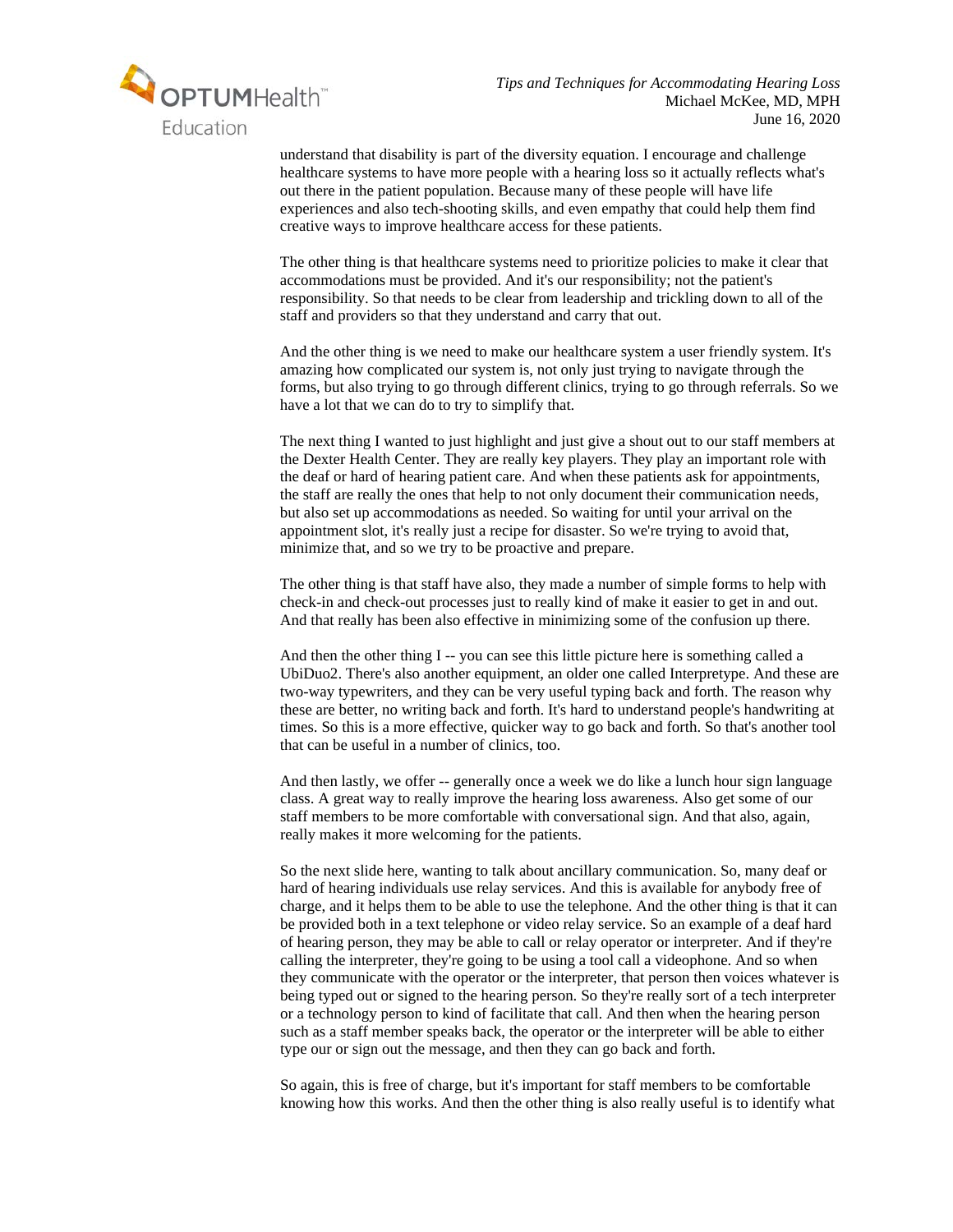

understand that disability is part of the diversity equation. I encourage and challenge healthcare systems to have more people with a hearing loss so it actually reflects what's out there in the patient population. Because many of these people will have life experiences and also tech-shooting skills, and even empathy that could help them find creative ways to improve healthcare access for these patients.

The other thing is that healthcare systems need to prioritize policies to make it clear that accommodations must be provided. And it's our responsibility; not the patient's responsibility. So that needs to be clear from leadership and trickling down to all of the staff and providers so that they understand and carry that out.

And the other thing is we need to make our healthcare system a user friendly system. It's amazing how complicated our system is, not only just trying to navigate through the forms, but also trying to go through different clinics, trying to go through referrals. So we have a lot that we can do to try to simplify that.

The next thing I wanted to just highlight and just give a shout out to our staff members at the Dexter Health Center. They are really key players. They play an important role with the deaf or hard of hearing patient care. And when these patients ask for appointments, the staff are really the ones that help to not only document their communication needs, but also set up accommodations as needed. So waiting for until your arrival on the appointment slot, it's really just a recipe for disaster. So we're trying to avoid that, minimize that, and so we try to be proactive and prepare.

The other thing is that staff have also, they made a number of simple forms to help with check-in and check-out processes just to really kind of make it easier to get in and out. And that really has been also effective in minimizing some of the confusion up there.

And then the other thing I -- you can see this little picture here is something called a UbiDuo2. There's also another equipment, an older one called Interpretype. And these are two-way typewriters, and they can be very useful typing back and forth. The reason why these are better, no writing back and forth. It's hard to understand people's handwriting at times. So this is a more effective, quicker way to go back and forth. So that's another tool that can be useful in a number of clinics, too.

And then lastly, we offer -- generally once a week we do like a lunch hour sign language class. A great way to really improve the hearing loss awareness. Also get some of our staff members to be more comfortable with conversational sign. And that also, again, really makes it more welcoming for the patients.

So the next slide here, wanting to talk about ancillary communication. So, many deaf or hard of hearing individuals use relay services. And this is available for anybody free of charge, and it helps them to be able to use the telephone. And the other thing is that it can be provided both in a text telephone or video relay service. So an example of a deaf hard of hearing person, they may be able to call or relay operator or interpreter. And if they're calling the interpreter, they're going to be using a tool call a videophone. And so when they communicate with the operator or the interpreter, that person then voices whatever is being typed out or signed to the hearing person. So they're really sort of a tech interpreter or a technology person to kind of facilitate that call. And then when the hearing person such as a staff member speaks back, the operator or the interpreter will be able to either type our or sign out the message, and then they can go back and forth.

So again, this is free of charge, but it's important for staff members to be comfortable knowing how this works. And then the other thing is also really useful is to identify what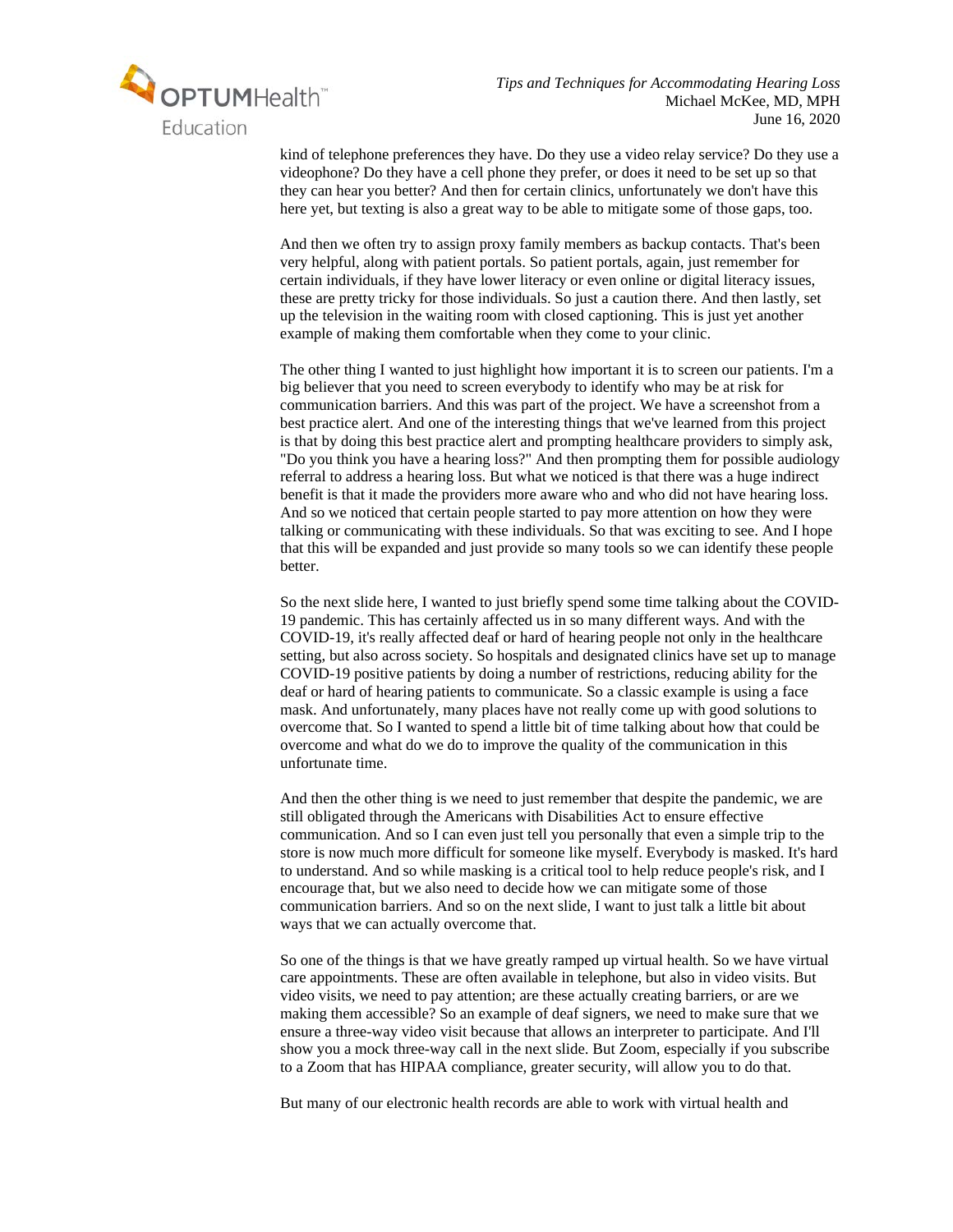

kind of telephone preferences they have. Do they use a video relay service? Do they use a videophone? Do they have a cell phone they prefer, or does it need to be set up so that they can hear you better? And then for certain clinics, unfortunately we don't have this here yet, but texting is also a great way to be able to mitigate some of those gaps, too.

And then we often try to assign proxy family members as backup contacts. That's been very helpful, along with patient portals. So patient portals, again, just remember for certain individuals, if they have lower literacy or even online or digital literacy issues, these are pretty tricky for those individuals. So just a caution there. And then lastly, set up the television in the waiting room with closed captioning. This is just yet another example of making them comfortable when they come to your clinic.

The other thing I wanted to just highlight how important it is to screen our patients. I'm a big believer that you need to screen everybody to identify who may be at risk for communication barriers. And this was part of the project. We have a screenshot from a best practice alert. And one of the interesting things that we've learned from this project is that by doing this best practice alert and prompting healthcare providers to simply ask, "Do you think you have a hearing loss?" And then prompting them for possible audiology referral to address a hearing loss. But what we noticed is that there was a huge indirect benefit is that it made the providers more aware who and who did not have hearing loss. And so we noticed that certain people started to pay more attention on how they were talking or communicating with these individuals. So that was exciting to see. And I hope that this will be expanded and just provide so many tools so we can identify these people better.

So the next slide here, I wanted to just briefly spend some time talking about the COVID-19 pandemic. This has certainly affected us in so many different ways. And with the COVID-19, it's really affected deaf or hard of hearing people not only in the healthcare setting, but also across society. So hospitals and designated clinics have set up to manage COVID-19 positive patients by doing a number of restrictions, reducing ability for the deaf or hard of hearing patients to communicate. So a classic example is using a face mask. And unfortunately, many places have not really come up with good solutions to overcome that. So I wanted to spend a little bit of time talking about how that could be overcome and what do we do to improve the quality of the communication in this unfortunate time.

And then the other thing is we need to just remember that despite the pandemic, we are still obligated through the Americans with Disabilities Act to ensure effective communication. And so I can even just tell you personally that even a simple trip to the store is now much more difficult for someone like myself. Everybody is masked. It's hard to understand. And so while masking is a critical tool to help reduce people's risk, and I encourage that, but we also need to decide how we can mitigate some of those communication barriers. And so on the next slide, I want to just talk a little bit about ways that we can actually overcome that.

So one of the things is that we have greatly ramped up virtual health. So we have virtual care appointments. These are often available in telephone, but also in video visits. But video visits, we need to pay attention; are these actually creating barriers, or are we making them accessible? So an example of deaf signers, we need to make sure that we ensure a three-way video visit because that allows an interpreter to participate. And I'll show you a mock three-way call in the next slide. But Zoom, especially if you subscribe to a Zoom that has HIPAA compliance, greater security, will allow you to do that.

But many of our electronic health records are able to work with virtual health and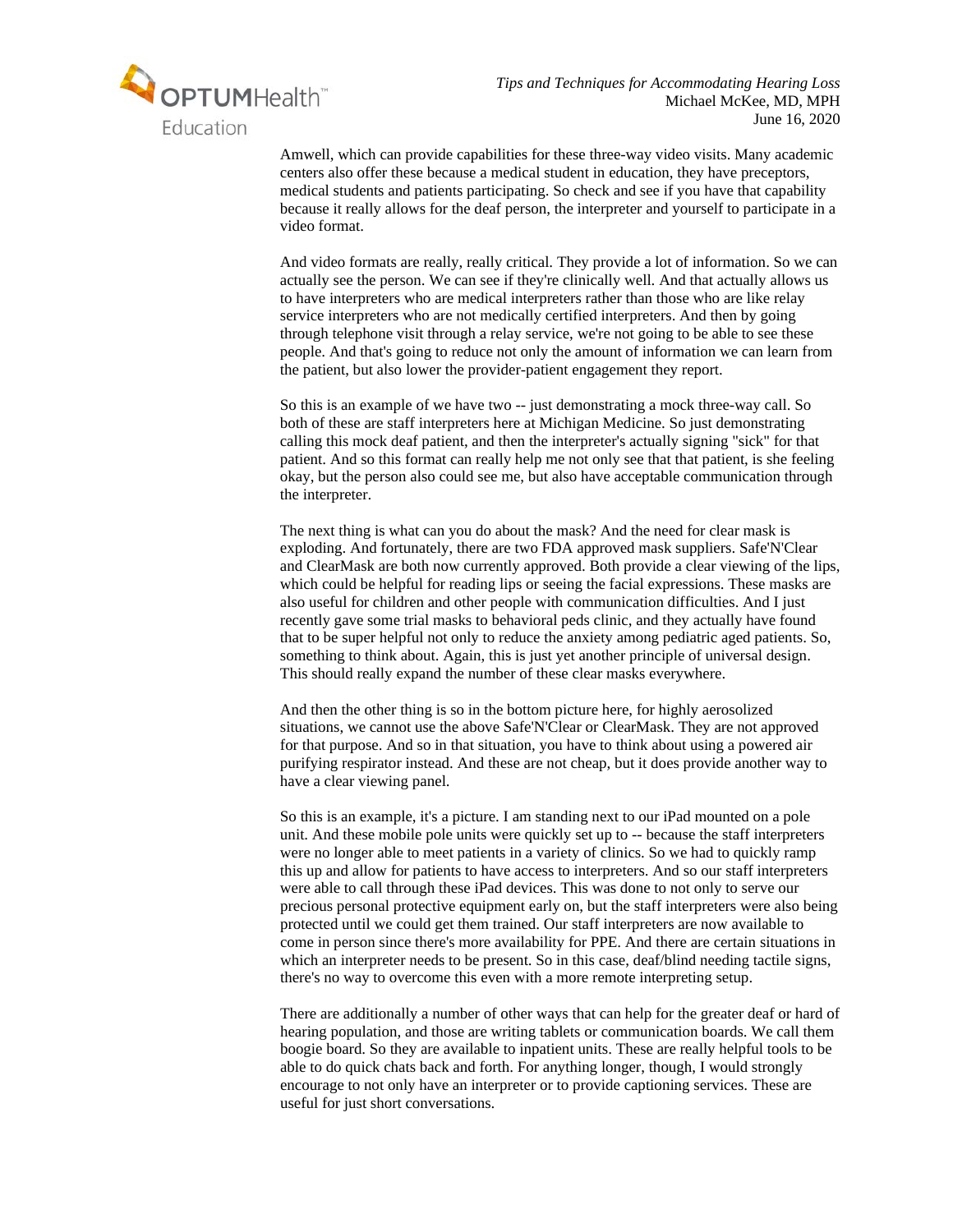

Amwell, which can provide capabilities for these three-way video visits. Many academic centers also offer these because a medical student in education, they have preceptors, medical students and patients participating. So check and see if you have that capability because it really allows for the deaf person, the interpreter and yourself to participate in a video format.

And video formats are really, really critical. They provide a lot of information. So we can actually see the person. We can see if they're clinically well. And that actually allows us to have interpreters who are medical interpreters rather than those who are like relay service interpreters who are not medically certified interpreters. And then by going through telephone visit through a relay service, we're not going to be able to see these people. And that's going to reduce not only the amount of information we can learn from the patient, but also lower the provider-patient engagement they report.

So this is an example of we have two -- just demonstrating a mock three-way call. So both of these are staff interpreters here at Michigan Medicine. So just demonstrating calling this mock deaf patient, and then the interpreter's actually signing "sick" for that patient. And so this format can really help me not only see that that patient, is she feeling okay, but the person also could see me, but also have acceptable communication through the interpreter.

The next thing is what can you do about the mask? And the need for clear mask is exploding. And fortunately, there are two FDA approved mask suppliers. Safe'N'Clear and ClearMask are both now currently approved. Both provide a clear viewing of the lips, which could be helpful for reading lips or seeing the facial expressions. These masks are also useful for children and other people with communication difficulties. And I just recently gave some trial masks to behavioral peds clinic, and they actually have found that to be super helpful not only to reduce the anxiety among pediatric aged patients. So, something to think about. Again, this is just yet another principle of universal design. This should really expand the number of these clear masks everywhere.

And then the other thing is so in the bottom picture here, for highly aerosolized situations, we cannot use the above Safe'N'Clear or ClearMask. They are not approved for that purpose. And so in that situation, you have to think about using a powered air purifying respirator instead. And these are not cheap, but it does provide another way to have a clear viewing panel.

So this is an example, it's a picture. I am standing next to our iPad mounted on a pole unit. And these mobile pole units were quickly set up to -- because the staff interpreters were no longer able to meet patients in a variety of clinics. So we had to quickly ramp this up and allow for patients to have access to interpreters. And so our staff interpreters were able to call through these iPad devices. This was done to not only to serve our precious personal protective equipment early on, but the staff interpreters were also being protected until we could get them trained. Our staff interpreters are now available to come in person since there's more availability for PPE. And there are certain situations in which an interpreter needs to be present. So in this case, deaf/blind needing tactile signs, there's no way to overcome this even with a more remote interpreting setup.

There are additionally a number of other ways that can help for the greater deaf or hard of hearing population, and those are writing tablets or communication boards. We call them boogie board. So they are available to inpatient units. These are really helpful tools to be able to do quick chats back and forth. For anything longer, though, I would strongly encourage to not only have an interpreter or to provide captioning services. These are useful for just short conversations.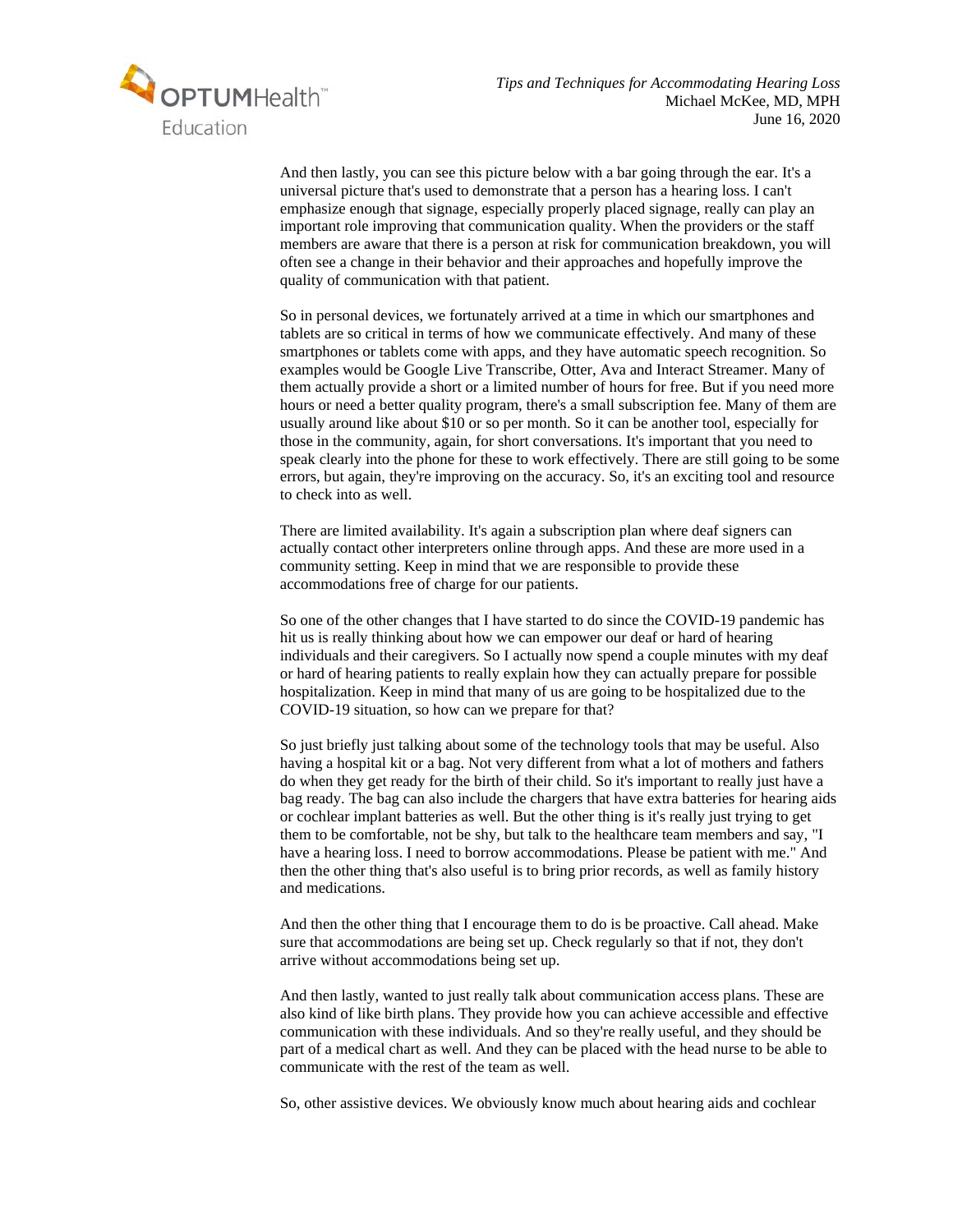

And then lastly, you can see this picture below with a bar going through the ear. It's a universal picture that's used to demonstrate that a person has a hearing loss. I can't emphasize enough that signage, especially properly placed signage, really can play an important role improving that communication quality. When the providers or the staff members are aware that there is a person at risk for communication breakdown, you will often see a change in their behavior and their approaches and hopefully improve the quality of communication with that patient.

So in personal devices, we fortunately arrived at a time in which our smartphones and tablets are so critical in terms of how we communicate effectively. And many of these smartphones or tablets come with apps, and they have automatic speech recognition. So examples would be Google Live Transcribe, Otter, Ava and Interact Streamer. Many of them actually provide a short or a limited number of hours for free. But if you need more hours or need a better quality program, there's a small subscription fee. Many of them are usually around like about \$10 or so per month. So it can be another tool, especially for those in the community, again, for short conversations. It's important that you need to speak clearly into the phone for these to work effectively. There are still going to be some errors, but again, they're improving on the accuracy. So, it's an exciting tool and resource to check into as well.

There are limited availability. It's again a subscription plan where deaf signers can actually contact other interpreters online through apps. And these are more used in a community setting. Keep in mind that we are responsible to provide these accommodations free of charge for our patients.

So one of the other changes that I have started to do since the COVID-19 pandemic has hit us is really thinking about how we can empower our deaf or hard of hearing individuals and their caregivers. So I actually now spend a couple minutes with my deaf or hard of hearing patients to really explain how they can actually prepare for possible hospitalization. Keep in mind that many of us are going to be hospitalized due to the COVID-19 situation, so how can we prepare for that?

So just briefly just talking about some of the technology tools that may be useful. Also having a hospital kit or a bag. Not very different from what a lot of mothers and fathers do when they get ready for the birth of their child. So it's important to really just have a bag ready. The bag can also include the chargers that have extra batteries for hearing aids or cochlear implant batteries as well. But the other thing is it's really just trying to get them to be comfortable, not be shy, but talk to the healthcare team members and say, "I have a hearing loss. I need to borrow accommodations. Please be patient with me." And then the other thing that's also useful is to bring prior records, as well as family history and medications.

And then the other thing that I encourage them to do is be proactive. Call ahead. Make sure that accommodations are being set up. Check regularly so that if not, they don't arrive without accommodations being set up.

And then lastly, wanted to just really talk about communication access plans. These are also kind of like birth plans. They provide how you can achieve accessible and effective communication with these individuals. And so they're really useful, and they should be part of a medical chart as well. And they can be placed with the head nurse to be able to communicate with the rest of the team as well.

So, other assistive devices. We obviously know much about hearing aids and cochlear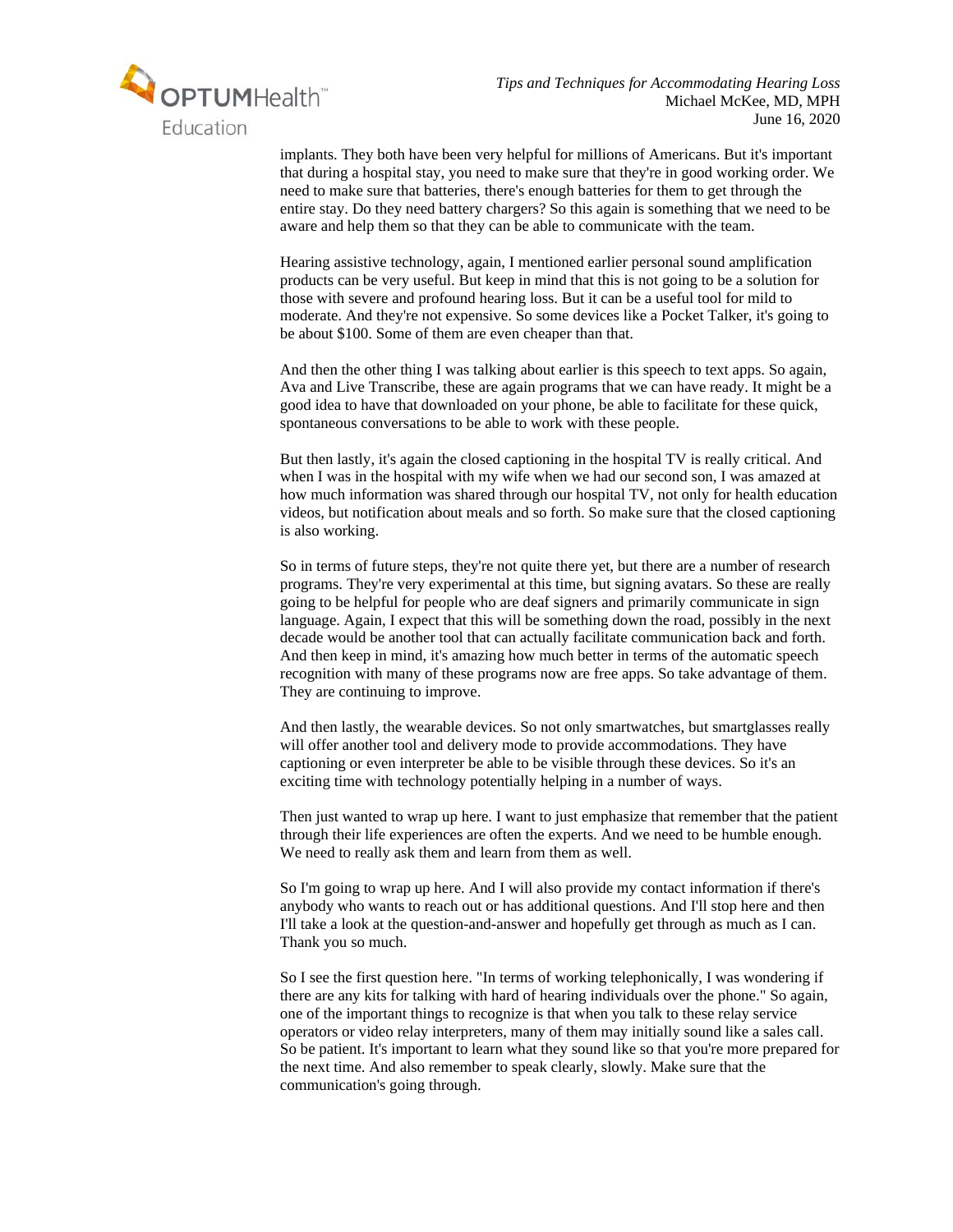

implants. They both have been very helpful for millions of Americans. But it's important that during a hospital stay, you need to make sure that they're in good working order. We need to make sure that batteries, there's enough batteries for them to get through the entire stay. Do they need battery chargers? So this again is something that we need to be aware and help them so that they can be able to communicate with the team.

Hearing assistive technology, again, I mentioned earlier personal sound amplification products can be very useful. But keep in mind that this is not going to be a solution for those with severe and profound hearing loss. But it can be a useful tool for mild to moderate. And they're not expensive. So some devices like a Pocket Talker, it's going to be about \$100. Some of them are even cheaper than that.

And then the other thing I was talking about earlier is this speech to text apps. So again, Ava and Live Transcribe, these are again programs that we can have ready. It might be a good idea to have that downloaded on your phone, be able to facilitate for these quick, spontaneous conversations to be able to work with these people.

But then lastly, it's again the closed captioning in the hospital TV is really critical. And when I was in the hospital with my wife when we had our second son, I was amazed at how much information was shared through our hospital TV, not only for health education videos, but notification about meals and so forth. So make sure that the closed captioning is also working.

So in terms of future steps, they're not quite there yet, but there are a number of research programs. They're very experimental at this time, but signing avatars. So these are really going to be helpful for people who are deaf signers and primarily communicate in sign language. Again, I expect that this will be something down the road, possibly in the next decade would be another tool that can actually facilitate communication back and forth. And then keep in mind, it's amazing how much better in terms of the automatic speech recognition with many of these programs now are free apps. So take advantage of them. They are continuing to improve.

And then lastly, the wearable devices. So not only smartwatches, but smartglasses really will offer another tool and delivery mode to provide accommodations. They have captioning or even interpreter be able to be visible through these devices. So it's an exciting time with technology potentially helping in a number of ways.

Then just wanted to wrap up here. I want to just emphasize that remember that the patient through their life experiences are often the experts. And we need to be humble enough. We need to really ask them and learn from them as well.

So I'm going to wrap up here. And I will also provide my contact information if there's anybody who wants to reach out or has additional questions. And I'll stop here and then I'll take a look at the question-and-answer and hopefully get through as much as I can. Thank you so much.

So I see the first question here. "In terms of working telephonically, I was wondering if there are any kits for talking with hard of hearing individuals over the phone." So again, one of the important things to recognize is that when you talk to these relay service operators or video relay interpreters, many of them may initially sound like a sales call. So be patient. It's important to learn what they sound like so that you're more prepared for the next time. And also remember to speak clearly, slowly. Make sure that the communication's going through.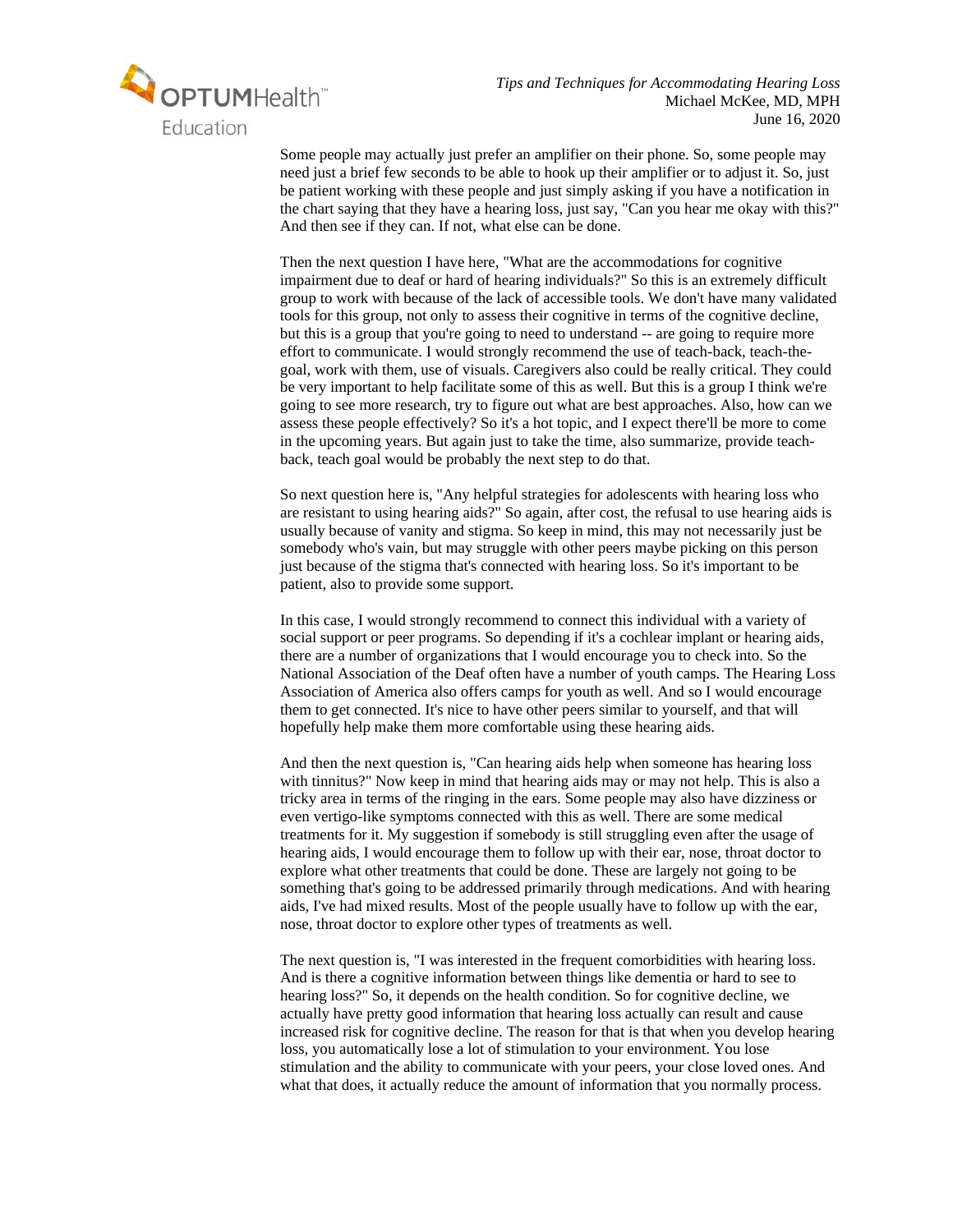

Some people may actually just prefer an amplifier on their phone. So, some people may need just a brief few seconds to be able to hook up their amplifier or to adjust it. So, just be patient working with these people and just simply asking if you have a notification in the chart saying that they have a hearing loss, just say, "Can you hear me okay with this?" And then see if they can. If not, what else can be done.

Then the next question I have here, "What are the accommodations for cognitive impairment due to deaf or hard of hearing individuals?" So this is an extremely difficult group to work with because of the lack of accessible tools. We don't have many validated tools for this group, not only to assess their cognitive in terms of the cognitive decline, but this is a group that you're going to need to understand -- are going to require more effort to communicate. I would strongly recommend the use of teach-back, teach-thegoal, work with them, use of visuals. Caregivers also could be really critical. They could be very important to help facilitate some of this as well. But this is a group I think we're going to see more research, try to figure out what are best approaches. Also, how can we assess these people effectively? So it's a hot topic, and I expect there'll be more to come in the upcoming years. But again just to take the time, also summarize, provide teachback, teach goal would be probably the next step to do that.

So next question here is, "Any helpful strategies for adolescents with hearing loss who are resistant to using hearing aids?" So again, after cost, the refusal to use hearing aids is usually because of vanity and stigma. So keep in mind, this may not necessarily just be somebody who's vain, but may struggle with other peers maybe picking on this person just because of the stigma that's connected with hearing loss. So it's important to be patient, also to provide some support.

In this case, I would strongly recommend to connect this individual with a variety of social support or peer programs. So depending if it's a cochlear implant or hearing aids, there are a number of organizations that I would encourage you to check into. So the National Association of the Deaf often have a number of youth camps. The Hearing Loss Association of America also offers camps for youth as well. And so I would encourage them to get connected. It's nice to have other peers similar to yourself, and that will hopefully help make them more comfortable using these hearing aids.

And then the next question is, "Can hearing aids help when someone has hearing loss with tinnitus?" Now keep in mind that hearing aids may or may not help. This is also a tricky area in terms of the ringing in the ears. Some people may also have dizziness or even vertigo-like symptoms connected with this as well. There are some medical treatments for it. My suggestion if somebody is still struggling even after the usage of hearing aids, I would encourage them to follow up with their ear, nose, throat doctor to explore what other treatments that could be done. These are largely not going to be something that's going to be addressed primarily through medications. And with hearing aids, I've had mixed results. Most of the people usually have to follow up with the ear, nose, throat doctor to explore other types of treatments as well.

The next question is, "I was interested in the frequent comorbidities with hearing loss. And is there a cognitive information between things like dementia or hard to see to hearing loss?" So, it depends on the health condition. So for cognitive decline, we actually have pretty good information that hearing loss actually can result and cause increased risk for cognitive decline. The reason for that is that when you develop hearing loss, you automatically lose a lot of stimulation to your environment. You lose stimulation and the ability to communicate with your peers, your close loved ones. And what that does, it actually reduce the amount of information that you normally process.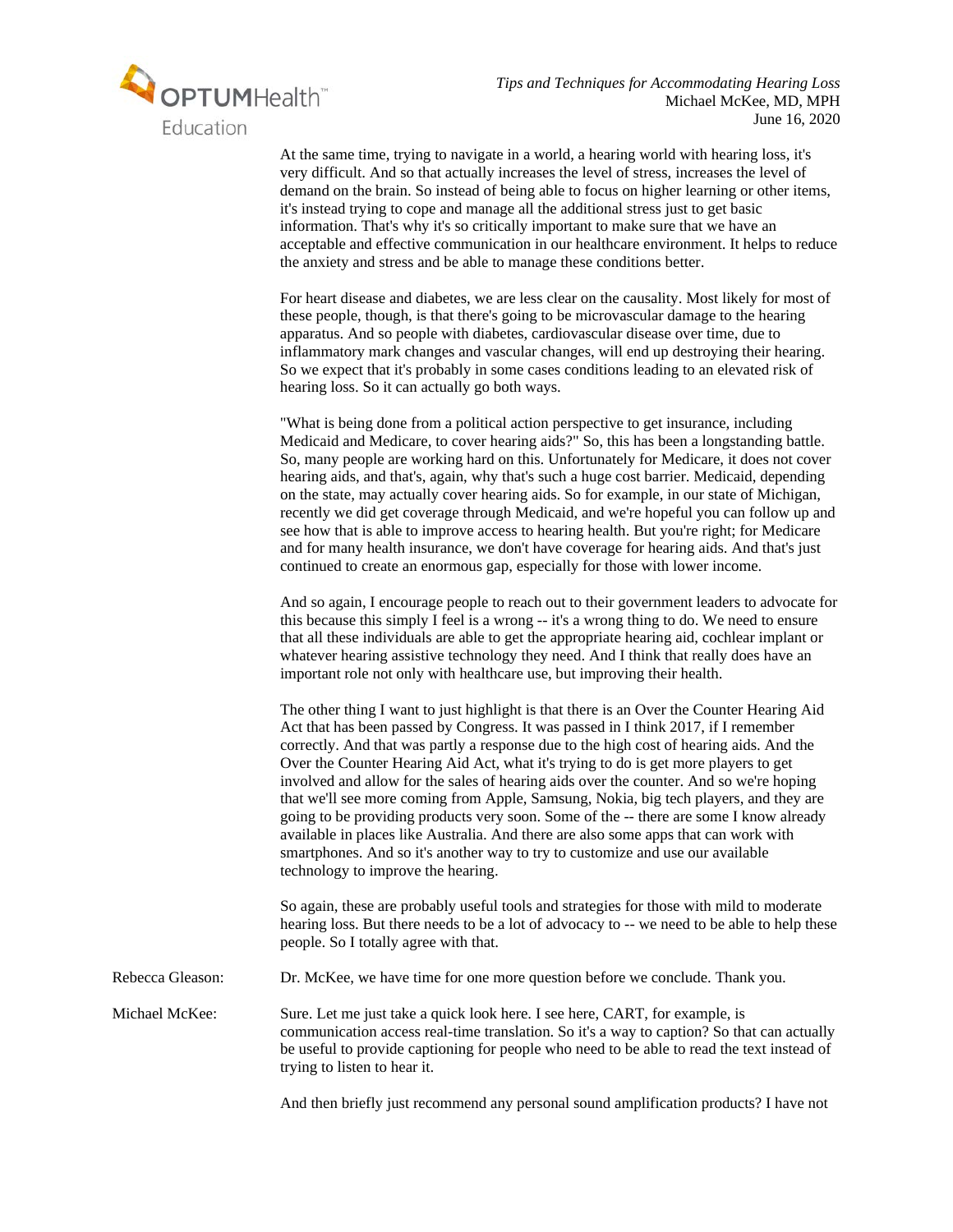

At the same time, trying to navigate in a world, a hearing world with hearing loss, it's very difficult. And so that actually increases the level of stress, increases the level of demand on the brain. So instead of being able to focus on higher learning or other items, it's instead trying to cope and manage all the additional stress just to get basic information. That's why it's so critically important to make sure that we have an acceptable and effective communication in our healthcare environment. It helps to reduce the anxiety and stress and be able to manage these conditions better.

For heart disease and diabetes, we are less clear on the causality. Most likely for most of these people, though, is that there's going to be microvascular damage to the hearing apparatus. And so people with diabetes, cardiovascular disease over time, due to inflammatory mark changes and vascular changes, will end up destroying their hearing. So we expect that it's probably in some cases conditions leading to an elevated risk of hearing loss. So it can actually go both ways.

"What is being done from a political action perspective to get insurance, including Medicaid and Medicare, to cover hearing aids?" So, this has been a longstanding battle. So, many people are working hard on this. Unfortunately for Medicare, it does not cover hearing aids, and that's, again, why that's such a huge cost barrier. Medicaid, depending on the state, may actually cover hearing aids. So for example, in our state of Michigan, recently we did get coverage through Medicaid, and we're hopeful you can follow up and see how that is able to improve access to hearing health. But you're right; for Medicare and for many health insurance, we don't have coverage for hearing aids. And that's just continued to create an enormous gap, especially for those with lower income.

And so again, I encourage people to reach out to their government leaders to advocate for this because this simply I feel is a wrong -- it's a wrong thing to do. We need to ensure that all these individuals are able to get the appropriate hearing aid, cochlear implant or whatever hearing assistive technology they need. And I think that really does have an important role not only with healthcare use, but improving their health.

The other thing I want to just highlight is that there is an Over the Counter Hearing Aid Act that has been passed by Congress. It was passed in I think 2017, if I remember correctly. And that was partly a response due to the high cost of hearing aids. And the Over the Counter Hearing Aid Act, what it's trying to do is get more players to get involved and allow for the sales of hearing aids over the counter. And so we're hoping that we'll see more coming from Apple, Samsung, Nokia, big tech players, and they are going to be providing products very soon. Some of the -- there are some I know already available in places like Australia. And there are also some apps that can work with smartphones. And so it's another way to try to customize and use our available technology to improve the hearing.

So again, these are probably useful tools and strategies for those with mild to moderate hearing loss. But there needs to be a lot of advocacy to -- we need to be able to help these people. So I totally agree with that.

Rebecca Gleason: Dr. McKee, we have time for one more question before we conclude. Thank you.

Michael McKee: Sure. Let me just take a quick look here. I see here, CART, for example, is communication access real-time translation. So it's a way to caption? So that can actually be useful to provide captioning for people who need to be able to read the text instead of trying to listen to hear it.

And then briefly just recommend any personal sound amplification products? I have not